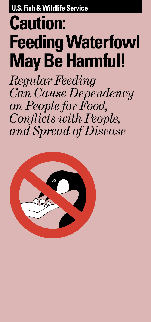**U.S. Fish & Wildlife Service**

## **Caution: FeedingWaterfowl May Be Harmful!**

*Regular Feeding Can Cause Dependency on People for Food, Conflicts with People, and Spread of Disease*

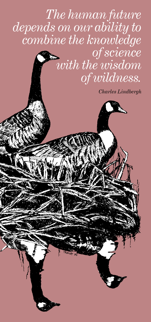## *The human future depends on our ability to combine the knowledge of science with the wisdom of wildness.*

*Charles Lindbergh*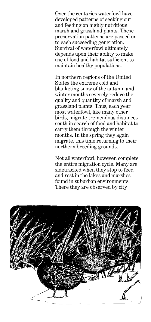Over the centuries waterfowl have developed patterns of seeking out and feeding on highly nutritious marsh and grassland plants. These preservation patterns are passed on to each succeeding generation. Survival of waterfowl ultimately depends upon their ability to make use of food and habitat sufficient to maintain healthy populations.

In northern regions of the United States the extreme cold and blanketing snow of the autumn and winter months severely reduce the quality and quantity of marsh and grassland plants. Thus, each year most waterfowl, like many other birds, migrate tremendous distances south in search of food and habitat to carry them through the winter months. In the spring they again migrate, this time returning to their northern breeding grounds.

Not all waterfowl, however, complete the entire migration cycle. Many are sidetracked when they stop to feed and rest in the lakes and marshes found in suburban environments. There they are observed by city

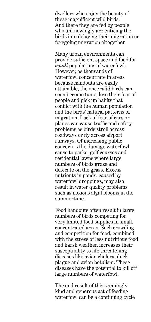dwellers who enjoy the beauty of these magnificent wild birds. And there they are fed by people who unknowingly are enticing the birds into delaying their migration or foregoing migration altogether.

Many urban environments can provide sufficient space and food for *small* populations of waterfowl. However, as thousands of waterfowl concentrate in areas because handouts are easily attainable, the once *wild* birds can soon become tame, lose their fear of people and pick up habits that conflict with the human population and the birds' natural patterns of migration. Lack of fear of cars or planes can cause traffic and safety problems as birds stroll across roadways or fly across airport runways. Of increasing public concern is the damage waterfowl cause to parks, golf courses and residential lawns where large numbers of birds graze and defecate on the grass. Excess nutrients in ponds, caused by waterfowl droppings, may also result in water quality problems such as noxious algal blooms in the summertime.

Food handouts often result in large numbers of birds competing for very limited food supplies in small, concentrated areas. Such crowding and competition for food, combined with the stress of less nutritious food and harsh weather, increases their susceptibility to life threatening diseases like avian cholera, duck plague and avian botulism. These diseases have the potential to kill off large numbers of waterfowl.

The end result of this seemingly kind and generous act of feeding waterfowl can be a continuing cycle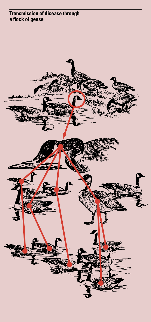## **Transmission of disease through a flock of geese**

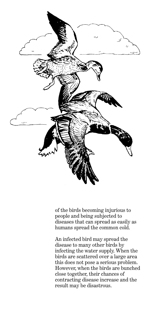

of the birds becoming injurious to people and being subjected to diseases that can spread as easily as humans spread the common cold.

An infected bird may spread the disease to many other birds by infecting the water supply. When the birds are scattered over a large area this does not pose a serious problem. However, when the birds are bunched close together, their chances of contracting disease increase and the result may be disastrous.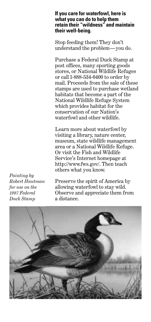## **If you care for waterfowl, here is what you can do to help them retain their "wildness" and maintain their well-being.**

Stop feeding them! They don't understand the problem—you do.

Purchase a Federal Duck Stamp at post offices, many sporting goods stores, or National Wildlife Refuges or call 1-888-534-0400 to order by mail. Proceeds from the sale of these stamps are used to purchase wetland habitats that become a part of the National Wildlife Refuge System which provides habitat for the conservation of our Nation's waterfowl and other wildlife.

Learn more about waterfowl by visiting a library, nature center, museum, state wildlife management area or a National Wildlife Refuge. Or visit the Fish and Wildlife Service's Internet homepage at http://www.fws.gov/. Then teach others what you know.

*Painting by Robert Hautman for use on the 1997 Federal Duck Stamp*

Preserve the spirit of America by allowing waterfowl to stay wild. Observe and appreciate them from a distance.